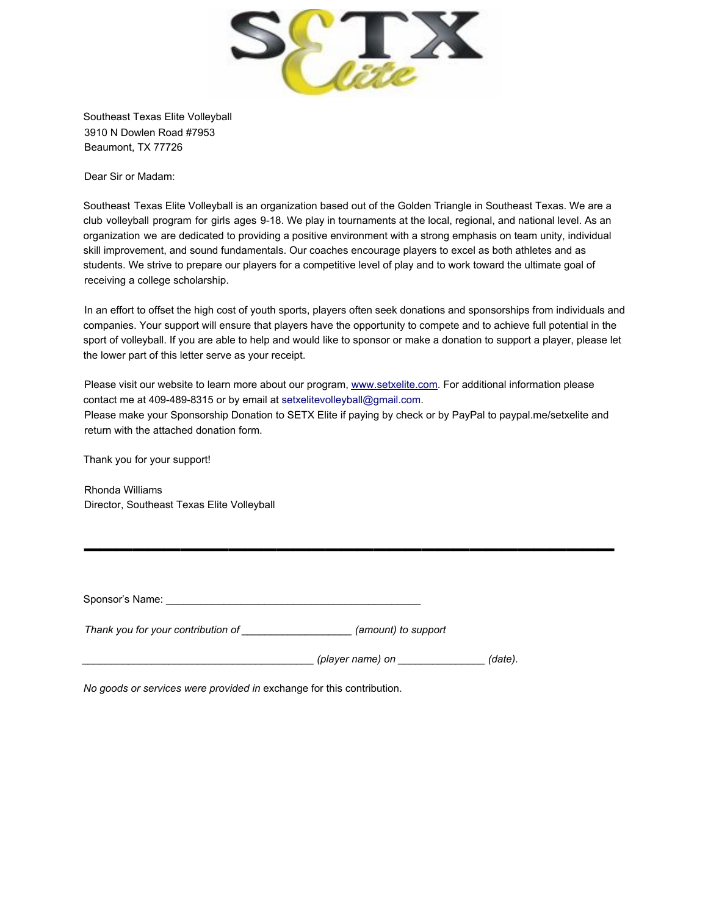

Southeast Texas Elite Volleyball 3910 N Dowlen Road #7953 Beaumont, TX 77726

Dear Sir or Madam:

Southeast Texas Elite Volleyball is an organization based out of the Golden Triangle in Southeast Texas. We are a club volleyball program for girls ages 9-18. We play in tournaments at the local, regional, and national level. As an organization we are dedicated to providing a positive environment with a strong emphasis on team unity, individual skill improvement, and sound fundamentals. Our coaches encourage players to excel as both athletes and as students. We strive to prepare our players for a competitive level of play and to work toward the ultimate goal of receiving a college scholarship.

In an effort to offset the high cost of youth sports, players often seek donations and sponsorships from individuals and companies. Your support will ensure that players have the opportunity to compete and to achieve full potential in the sport of volleyball. If you are able to help and would like to sponsor or make a donation to support a player, please let the lower part of this letter serve as your receipt.

Please visit our website to learn more about our program, www.setxelite.com. For additional information please contact me at 409-489-8315 or by email at setxelitevolleyball@gmail.com. Please make your Sponsorship Donation to SETX Elite if paying by check or by PayPal to paypal.me/setxelite and return with the attached donation form.

Thank you for your support!

Rhonda Williams Director, Southeast Texas Elite Volleyball

Sponsor's Name:

*Thank you for your contribution of \_\_\_\_\_\_\_\_\_\_\_\_\_\_\_\_\_\_\_ (amount) to support*

*\_\_\_\_\_\_\_\_\_\_\_\_\_\_\_\_\_\_\_\_\_\_\_\_\_\_\_\_\_\_\_\_\_\_\_\_\_\_\_\_ (player name) on \_\_\_\_\_\_\_\_\_\_\_\_\_\_\_ (date).*

 $\mathcal{L}=\mathcal{L}^{\mathcal{L}}$  , where  $\mathcal{L}^{\mathcal{L}}$  , we have  $\mathcal{L}^{\mathcal{L}}$  , we have  $\mathcal{L}^{\mathcal{L}}$  , we have  $\mathcal{L}^{\mathcal{L}}$ 

*No goods or services were provided in* exchange for this contribution.